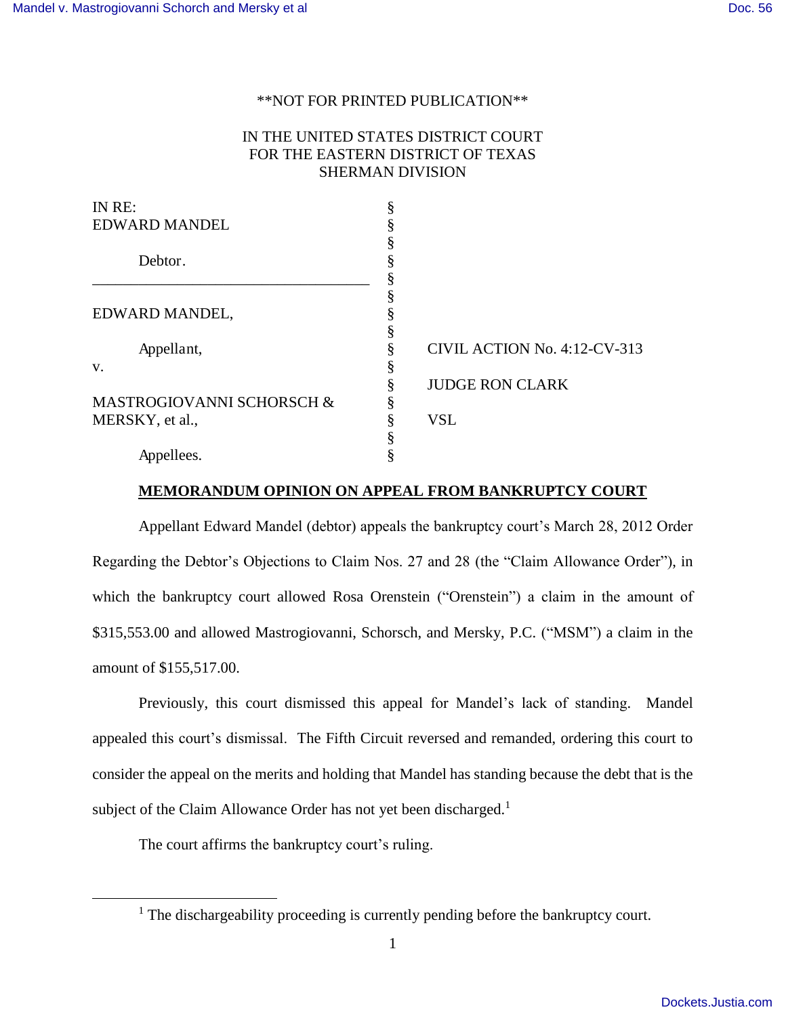### \*\*NOT FOR PRINTED PUBLICATION\*\*

# IN THE UNITED STATES DISTRICT COURT FOR THE EASTERN DISTRICT OF TEXAS SHERMAN DIVISION

| IN RE:<br><b>EDWARD MANDEL</b> | ş<br>§ |                              |
|--------------------------------|--------|------------------------------|
| Debtor.                        | §      |                              |
| EDWARD MANDEL,                 | ş<br>§ |                              |
| Appellant,                     | §      | CIVIL ACTION No. 4:12-CV-313 |
| V.                             | ş      |                              |
|                                | §      | <b>JUDGE RON CLARK</b>       |
| MASTROGIOVANNI SCHORSCH &      | §      |                              |
| MERSKY, et al.,                | ş      | <b>VSL</b>                   |
|                                |        |                              |
| Appellees.                     |        |                              |

### **MEMORANDUM OPINION ON APPEAL FROM BANKRUPTCY COURT**

Appellant Edward Mandel (debtor) appeals the bankruptcy court's March 28, 2012 Order Regarding the Debtor's Objections to Claim Nos. 27 and 28 (the "Claim Allowance Order"), in which the bankruptcy court allowed Rosa Orenstein ("Orenstein") a claim in the amount of \$315,553.00 and allowed Mastrogiovanni, Schorsch, and Mersky, P.C. ("MSM") a claim in the amount of \$155,517.00.

Previously, this court dismissed this appeal for Mandel's lack of standing. Mandel appealed this court's dismissal. The Fifth Circuit reversed and remanded, ordering this court to consider the appeal on the merits and holding that Mandel has standing because the debt that is the subject of the Claim Allowance Order has not yet been discharged.<sup>1</sup>

The court affirms the bankruptcy court's ruling.

<sup>&</sup>lt;sup>1</sup> The dischargeability proceeding is currently pending before the bankruptcy court.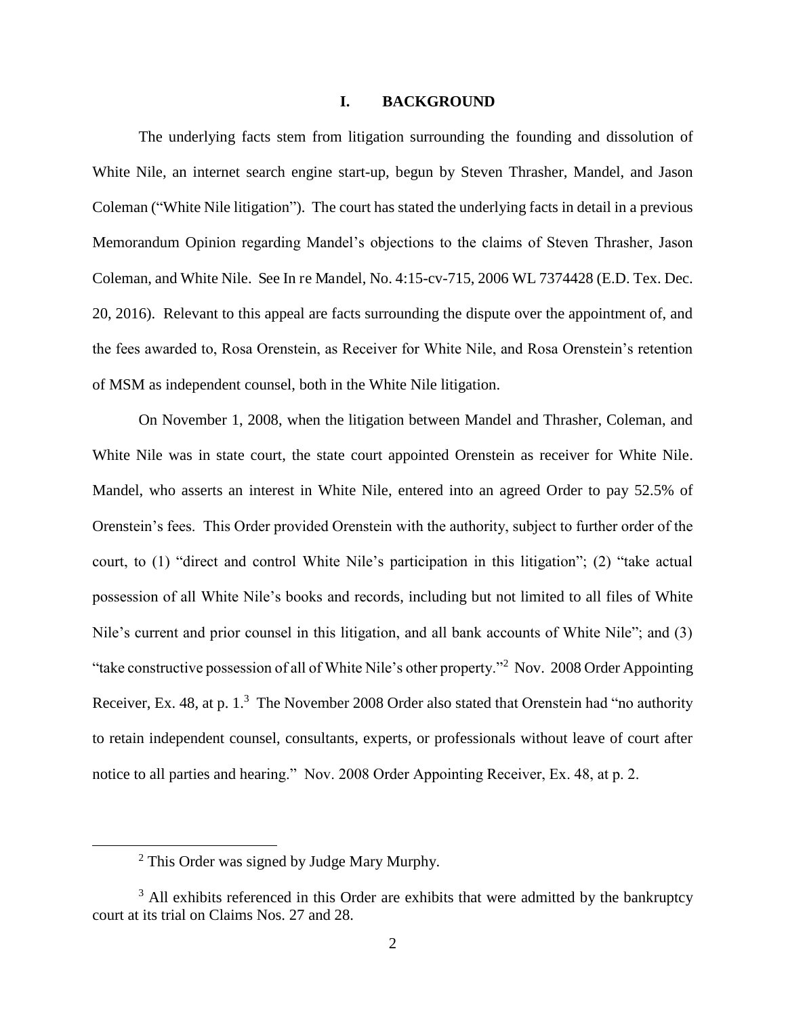### **I. BACKGROUND**

The underlying facts stem from litigation surrounding the founding and dissolution of White Nile, an internet search engine start-up, begun by Steven Thrasher, Mandel, and Jason Coleman ("White Nile litigation"). The court has stated the underlying facts in detail in a previous Memorandum Opinion regarding Mandel's objections to the claims of Steven Thrasher, Jason Coleman, and White Nile. See In re Mandel, No. 4:15-cv-715, 2006 WL 7374428 (E.D. Tex. Dec. 20, 2016). Relevant to this appeal are facts surrounding the dispute over the appointment of, and the fees awarded to, Rosa Orenstein, as Receiver for White Nile, and Rosa Orenstein's retention of MSM as independent counsel, both in the White Nile litigation.

On November 1, 2008, when the litigation between Mandel and Thrasher, Coleman, and White Nile was in state court, the state court appointed Orenstein as receiver for White Nile. Mandel, who asserts an interest in White Nile, entered into an agreed Order to pay 52.5% of Orenstein's fees. This Order provided Orenstein with the authority, subject to further order of the court, to (1) "direct and control White Nile's participation in this litigation"; (2) "take actual possession of all White Nile's books and records, including but not limited to all files of White Nile's current and prior counsel in this litigation, and all bank accounts of White Nile"; and (3) "take constructive possession of all of White Nile's other property."<sup>2</sup> Nov. 2008 Order Appointing Receiver, Ex. 48, at p.  $1<sup>3</sup>$  The November 2008 Order also stated that Orenstein had "no authority to retain independent counsel, consultants, experts, or professionals without leave of court after notice to all parties and hearing." Nov. 2008 Order Appointing Receiver, Ex. 48, at p. 2.

<sup>&</sup>lt;sup>2</sup> This Order was signed by Judge Mary Murphy.

 $3$  All exhibits referenced in this Order are exhibits that were admitted by the bankruptcy court at its trial on Claims Nos. 27 and 28.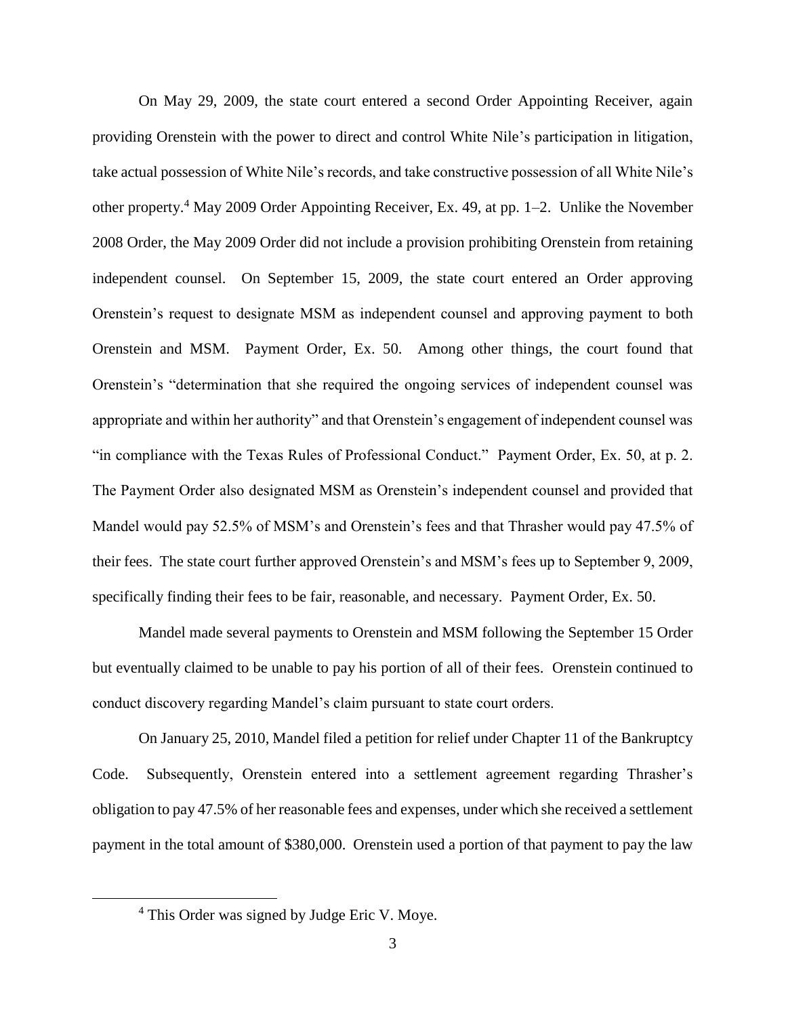On May 29, 2009, the state court entered a second Order Appointing Receiver, again providing Orenstein with the power to direct and control White Nile's participation in litigation, take actual possession of White Nile's records, and take constructive possession of all White Nile's other property.<sup>4</sup> May 2009 Order Appointing Receiver, Ex. 49, at pp. 1–2. Unlike the November 2008 Order, the May 2009 Order did not include a provision prohibiting Orenstein from retaining independent counsel. On September 15, 2009, the state court entered an Order approving Orenstein's request to designate MSM as independent counsel and approving payment to both Orenstein and MSM. Payment Order, Ex. 50. Among other things, the court found that Orenstein's "determination that she required the ongoing services of independent counsel was appropriate and within her authority" and that Orenstein's engagement of independent counsel was "in compliance with the Texas Rules of Professional Conduct." Payment Order, Ex. 50, at p. 2. The Payment Order also designated MSM as Orenstein's independent counsel and provided that Mandel would pay 52.5% of MSM's and Orenstein's fees and that Thrasher would pay 47.5% of their fees. The state court further approved Orenstein's and MSM's fees up to September 9, 2009, specifically finding their fees to be fair, reasonable, and necessary. Payment Order, Ex. 50.

Mandel made several payments to Orenstein and MSM following the September 15 Order but eventually claimed to be unable to pay his portion of all of their fees. Orenstein continued to conduct discovery regarding Mandel's claim pursuant to state court orders.

On January 25, 2010, Mandel filed a petition for relief under Chapter 11 of the Bankruptcy Code. Subsequently, Orenstein entered into a settlement agreement regarding Thrasher's obligation to pay 47.5% of her reasonable fees and expenses, under which she received a settlement payment in the total amount of \$380,000. Orenstein used a portion of that payment to pay the law

<sup>&</sup>lt;sup>4</sup> This Order was signed by Judge Eric V. Moye.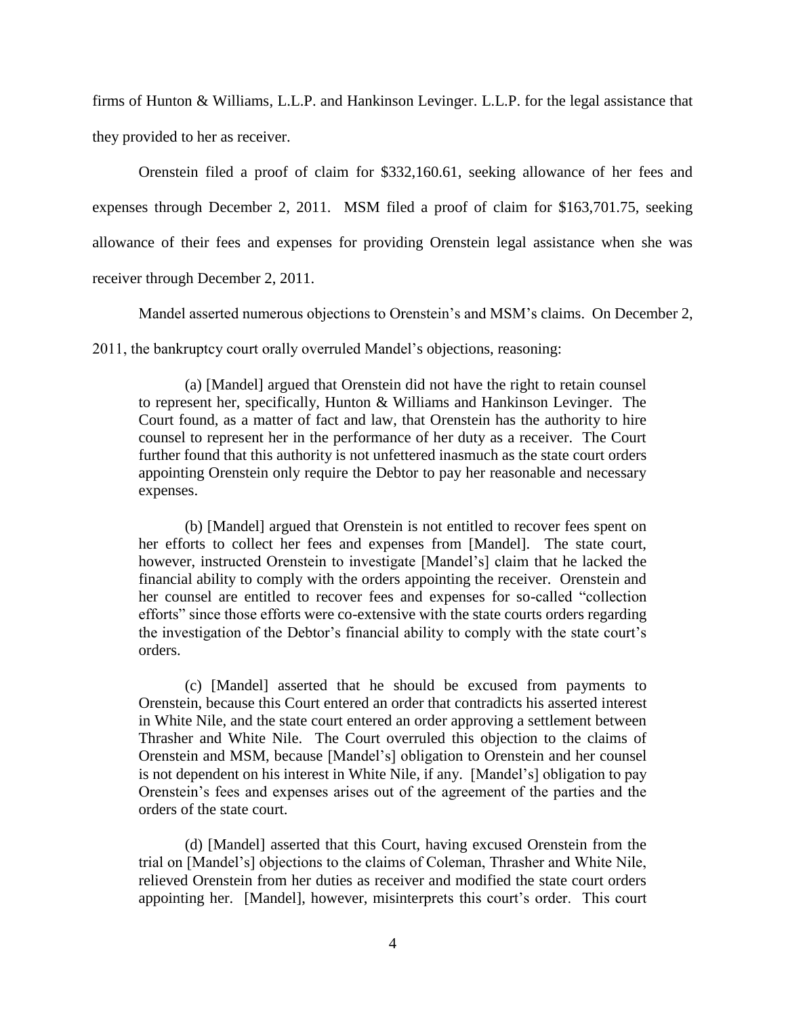firms of Hunton & Williams, L.L.P. and Hankinson Levinger. L.L.P. for the legal assistance that they provided to her as receiver.

Orenstein filed a proof of claim for \$332,160.61, seeking allowance of her fees and expenses through December 2, 2011. MSM filed a proof of claim for \$163,701.75, seeking allowance of their fees and expenses for providing Orenstein legal assistance when she was receiver through December 2, 2011.

Mandel asserted numerous objections to Orenstein's and MSM's claims. On December 2,

2011, the bankruptcy court orally overruled Mandel's objections, reasoning:

(a) [Mandel] argued that Orenstein did not have the right to retain counsel to represent her, specifically, Hunton & Williams and Hankinson Levinger. The Court found, as a matter of fact and law, that Orenstein has the authority to hire counsel to represent her in the performance of her duty as a receiver. The Court further found that this authority is not unfettered inasmuch as the state court orders appointing Orenstein only require the Debtor to pay her reasonable and necessary expenses.

(b) [Mandel] argued that Orenstein is not entitled to recover fees spent on her efforts to collect her fees and expenses from [Mandel]. The state court, however, instructed Orenstein to investigate [Mandel's] claim that he lacked the financial ability to comply with the orders appointing the receiver. Orenstein and her counsel are entitled to recover fees and expenses for so-called "collection efforts" since those efforts were co-extensive with the state courts orders regarding the investigation of the Debtor's financial ability to comply with the state court's orders.

(c) [Mandel] asserted that he should be excused from payments to Orenstein, because this Court entered an order that contradicts his asserted interest in White Nile, and the state court entered an order approving a settlement between Thrasher and White Nile. The Court overruled this objection to the claims of Orenstein and MSM, because [Mandel's] obligation to Orenstein and her counsel is not dependent on his interest in White Nile, if any. [Mandel's] obligation to pay Orenstein's fees and expenses arises out of the agreement of the parties and the orders of the state court.

(d) [Mandel] asserted that this Court, having excused Orenstein from the trial on [Mandel's] objections to the claims of Coleman, Thrasher and White Nile, relieved Orenstein from her duties as receiver and modified the state court orders appointing her. [Mandel], however, misinterprets this court's order. This court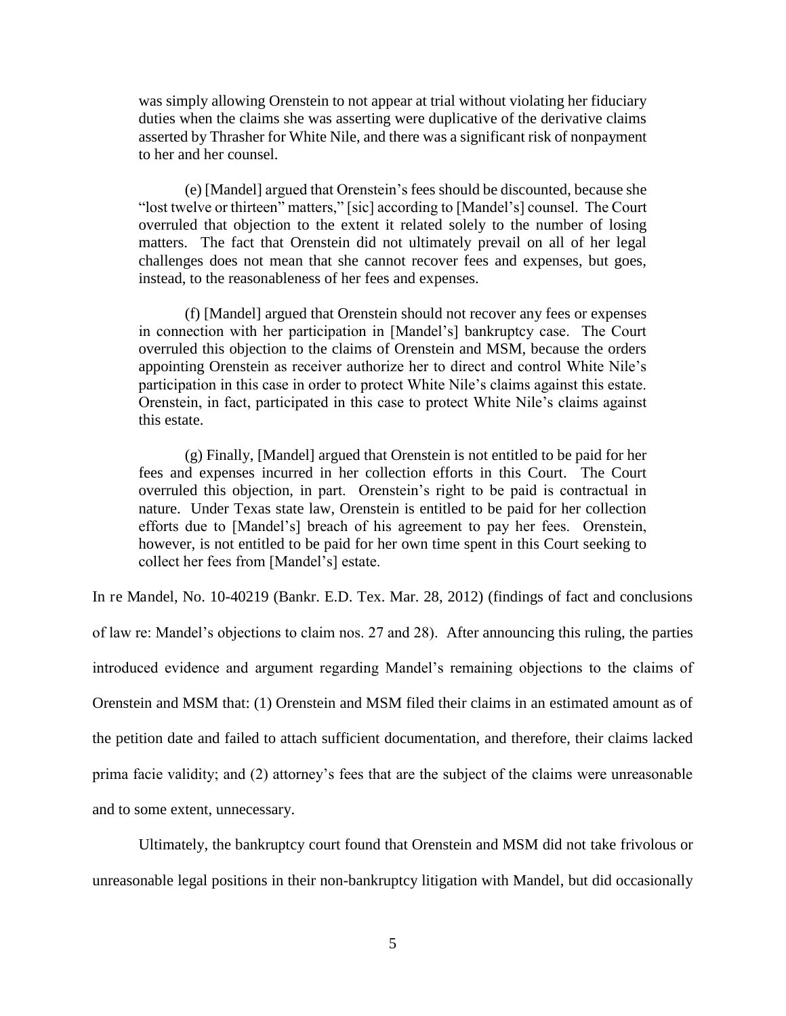was simply allowing Orenstein to not appear at trial without violating her fiduciary duties when the claims she was asserting were duplicative of the derivative claims asserted by Thrasher for White Nile, and there was a significant risk of nonpayment to her and her counsel.

(e) [Mandel] argued that Orenstein's fees should be discounted, because she "lost twelve or thirteen" matters," [sic] according to [Mandel's] counsel. The Court overruled that objection to the extent it related solely to the number of losing matters. The fact that Orenstein did not ultimately prevail on all of her legal challenges does not mean that she cannot recover fees and expenses, but goes, instead, to the reasonableness of her fees and expenses.

(f) [Mandel] argued that Orenstein should not recover any fees or expenses in connection with her participation in [Mandel's] bankruptcy case. The Court overruled this objection to the claims of Orenstein and MSM, because the orders appointing Orenstein as receiver authorize her to direct and control White Nile's participation in this case in order to protect White Nile's claims against this estate. Orenstein, in fact, participated in this case to protect White Nile's claims against this estate.

(g) Finally, [Mandel] argued that Orenstein is not entitled to be paid for her fees and expenses incurred in her collection efforts in this Court. The Court overruled this objection, in part. Orenstein's right to be paid is contractual in nature. Under Texas state law, Orenstein is entitled to be paid for her collection efforts due to [Mandel's] breach of his agreement to pay her fees. Orenstein, however, is not entitled to be paid for her own time spent in this Court seeking to collect her fees from [Mandel's] estate.

In re Mandel, No. 10-40219 (Bankr. E.D. Tex. Mar. 28, 2012) (findings of fact and conclusions of law re: Mandel's objections to claim nos. 27 and 28). After announcing this ruling, the parties introduced evidence and argument regarding Mandel's remaining objections to the claims of Orenstein and MSM that: (1) Orenstein and MSM filed their claims in an estimated amount as of the petition date and failed to attach sufficient documentation, and therefore, their claims lacked prima facie validity; and (2) attorney's fees that are the subject of the claims were unreasonable and to some extent, unnecessary.

Ultimately, the bankruptcy court found that Orenstein and MSM did not take frivolous or unreasonable legal positions in their non-bankruptcy litigation with Mandel, but did occasionally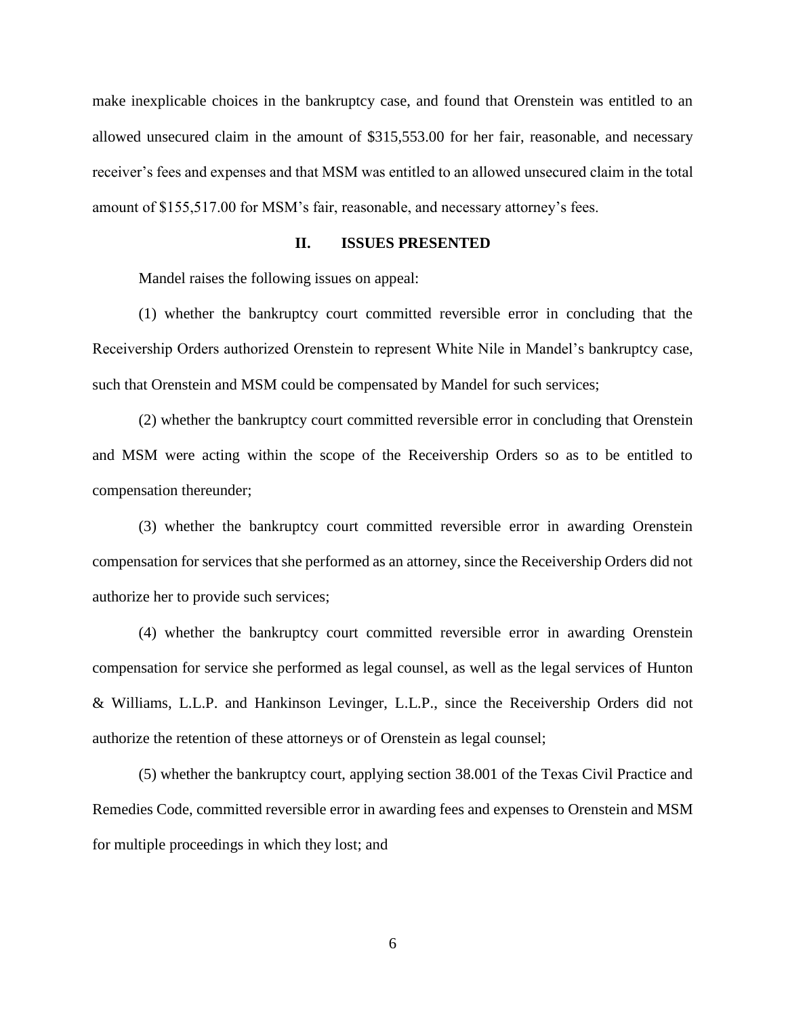make inexplicable choices in the bankruptcy case, and found that Orenstein was entitled to an allowed unsecured claim in the amount of \$315,553.00 for her fair, reasonable, and necessary receiver's fees and expenses and that MSM was entitled to an allowed unsecured claim in the total amount of \$155,517.00 for MSM's fair, reasonable, and necessary attorney's fees.

## **II. ISSUES PRESENTED**

Mandel raises the following issues on appeal:

(1) whether the bankruptcy court committed reversible error in concluding that the Receivership Orders authorized Orenstein to represent White Nile in Mandel's bankruptcy case, such that Orenstein and MSM could be compensated by Mandel for such services;

(2) whether the bankruptcy court committed reversible error in concluding that Orenstein and MSM were acting within the scope of the Receivership Orders so as to be entitled to compensation thereunder;

(3) whether the bankruptcy court committed reversible error in awarding Orenstein compensation for services that she performed as an attorney, since the Receivership Orders did not authorize her to provide such services;

(4) whether the bankruptcy court committed reversible error in awarding Orenstein compensation for service she performed as legal counsel, as well as the legal services of Hunton & Williams, L.L.P. and Hankinson Levinger, L.L.P., since the Receivership Orders did not authorize the retention of these attorneys or of Orenstein as legal counsel;

(5) whether the bankruptcy court, applying section 38.001 of the Texas Civil Practice and Remedies Code, committed reversible error in awarding fees and expenses to Orenstein and MSM for multiple proceedings in which they lost; and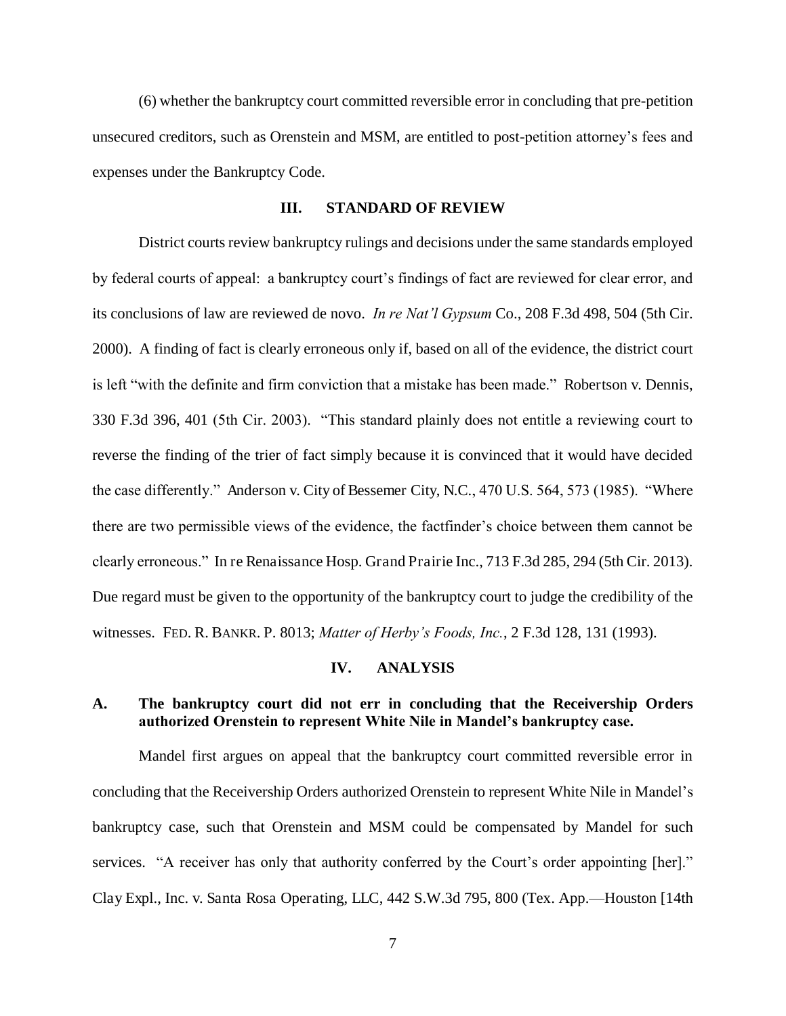(6) whether the bankruptcy court committed reversible error in concluding that pre-petition unsecured creditors, such as Orenstein and MSM, are entitled to post-petition attorney's fees and expenses under the Bankruptcy Code.

#### **III. STANDARD OF REVIEW**

District courts review bankruptcy rulings and decisions under the same standards employed by federal courts of appeal: a bankruptcy court's findings of fact are reviewed for clear error, and its conclusions of law are reviewed de novo. *In re Nat'l Gypsum* Co., 208 F.3d 498, 504 (5th Cir. 2000). A finding of fact is clearly erroneous only if, based on all of the evidence, the district court is left "with the definite and firm conviction that a mistake has been made." Robertson v. Dennis, 330 F.3d 396, 401 (5th Cir. 2003). "This standard plainly does not entitle a reviewing court to reverse the finding of the trier of fact simply because it is convinced that it would have decided the case differently." Anderson v. City of Bessemer City, N.C., 470 U.S. 564, 573 (1985). "Where there are two permissible views of the evidence, the factfinder's choice between them cannot be clearly erroneous." In re Renaissance Hosp. Grand Prairie Inc., 713 F.3d 285, 294 (5th Cir. 2013). Due regard must be given to the opportunity of the bankruptcy court to judge the credibility of the witnesses. FED. R. BANKR. P. 8013; *Matter of Herby's Foods, Inc.*, 2 F.3d 128, 131 (1993).

#### **IV. ANALYSIS**

# **A. The bankruptcy court did not err in concluding that the Receivership Orders authorized Orenstein to represent White Nile in Mandel's bankruptcy case.**

Mandel first argues on appeal that the bankruptcy court committed reversible error in concluding that the Receivership Orders authorized Orenstein to represent White Nile in Mandel's bankruptcy case, such that Orenstein and MSM could be compensated by Mandel for such services. "A receiver has only that authority conferred by the Court's order appointing [her]." Clay Expl., Inc. v. Santa Rosa Operating, LLC, 442 S.W.3d 795, 800 (Tex. App.—Houston [14th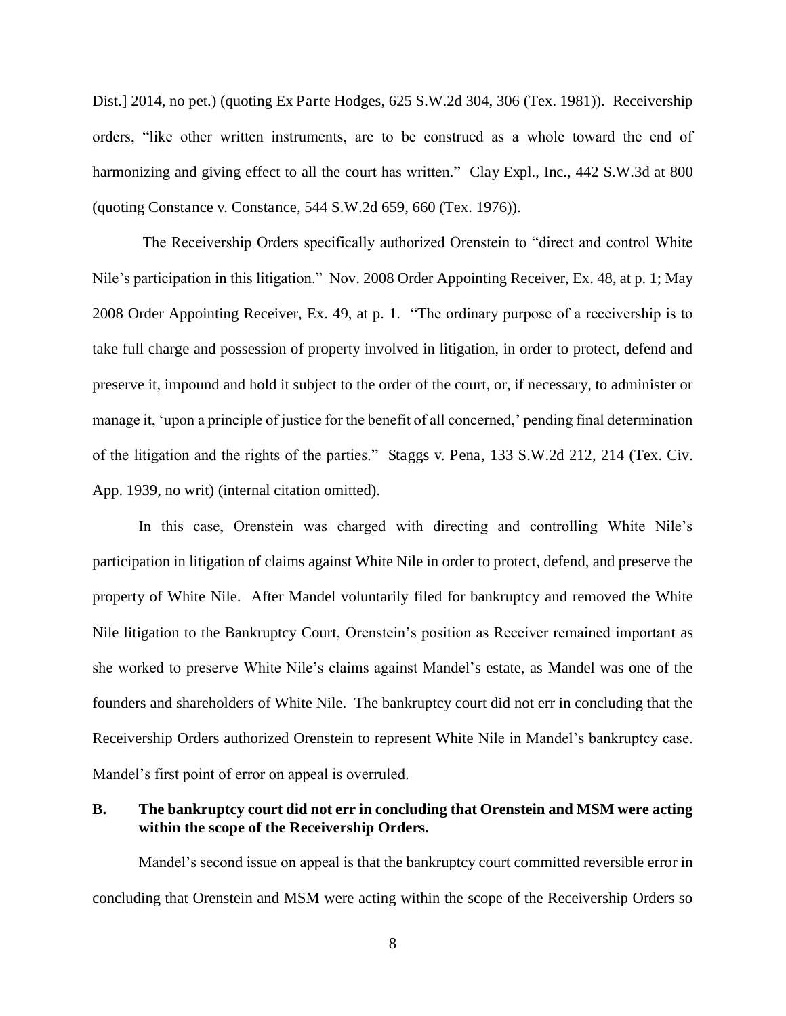Dist.] 2014, no pet.) (quoting Ex Parte Hodges, 625 S.W.2d 304, 306 (Tex. 1981)). Receivership orders, "like other written instruments, are to be construed as a whole toward the end of harmonizing and giving effect to all the court has written." Clay Expl., Inc., 442 S.W.3d at 800 (quoting Constance v. Constance, 544 S.W.2d 659, 660 (Tex. 1976)).

The Receivership Orders specifically authorized Orenstein to "direct and control White Nile's participation in this litigation." Nov. 2008 Order Appointing Receiver, Ex. 48, at p. 1; May 2008 Order Appointing Receiver, Ex. 49, at p. 1. "The ordinary purpose of a receivership is to take full charge and possession of property involved in litigation, in order to protect, defend and preserve it, impound and hold it subject to the order of the court, or, if necessary, to administer or manage it, 'upon a principle of justice for the benefit of all concerned,' pending final determination of the litigation and the rights of the parties." Staggs v. Pena, 133 S.W.2d 212, 214 (Tex. Civ. App. 1939, no writ) (internal citation omitted).

In this case, Orenstein was charged with directing and controlling White Nile's participation in litigation of claims against White Nile in order to protect, defend, and preserve the property of White Nile. After Mandel voluntarily filed for bankruptcy and removed the White Nile litigation to the Bankruptcy Court, Orenstein's position as Receiver remained important as she worked to preserve White Nile's claims against Mandel's estate, as Mandel was one of the founders and shareholders of White Nile. The bankruptcy court did not err in concluding that the Receivership Orders authorized Orenstein to represent White Nile in Mandel's bankruptcy case. Mandel's first point of error on appeal is overruled.

## **B. The bankruptcy court did not err in concluding that Orenstein and MSM were acting within the scope of the Receivership Orders.**

Mandel's second issue on appeal is that the bankruptcy court committed reversible error in concluding that Orenstein and MSM were acting within the scope of the Receivership Orders so

8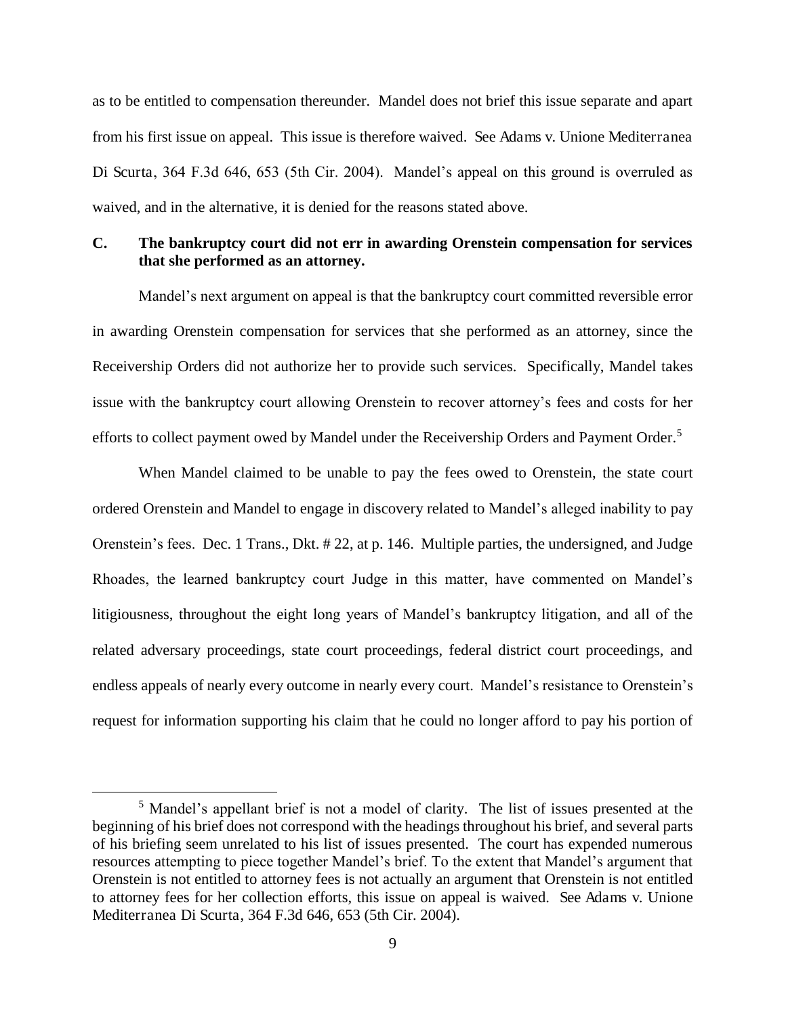as to be entitled to compensation thereunder. Mandel does not brief this issue separate and apart from his first issue on appeal. This issue is therefore waived. See Adams v. Unione Mediterranea Di Scurta, 364 F.3d 646, 653 (5th Cir. 2004). Mandel's appeal on this ground is overruled as waived, and in the alternative, it is denied for the reasons stated above.

## **C. The bankruptcy court did not err in awarding Orenstein compensation for services that she performed as an attorney.**

Mandel's next argument on appeal is that the bankruptcy court committed reversible error in awarding Orenstein compensation for services that she performed as an attorney, since the Receivership Orders did not authorize her to provide such services. Specifically, Mandel takes issue with the bankruptcy court allowing Orenstein to recover attorney's fees and costs for her efforts to collect payment owed by Mandel under the Receivership Orders and Payment Order.<sup>5</sup>

When Mandel claimed to be unable to pay the fees owed to Orenstein, the state court ordered Orenstein and Mandel to engage in discovery related to Mandel's alleged inability to pay Orenstein's fees. Dec. 1 Trans., Dkt. # 22, at p. 146. Multiple parties, the undersigned, and Judge Rhoades, the learned bankruptcy court Judge in this matter, have commented on Mandel's litigiousness, throughout the eight long years of Mandel's bankruptcy litigation, and all of the related adversary proceedings, state court proceedings, federal district court proceedings, and endless appeals of nearly every outcome in nearly every court. Mandel's resistance to Orenstein's request for information supporting his claim that he could no longer afford to pay his portion of

<sup>5</sup> Mandel's appellant brief is not a model of clarity. The list of issues presented at the beginning of his brief does not correspond with the headings throughout his brief, and several parts of his briefing seem unrelated to his list of issues presented. The court has expended numerous resources attempting to piece together Mandel's brief. To the extent that Mandel's argument that Orenstein is not entitled to attorney fees is not actually an argument that Orenstein is not entitled to attorney fees for her collection efforts, this issue on appeal is waived. See Adams v. Unione Mediterranea Di Scurta, 364 F.3d 646, 653 (5th Cir. 2004).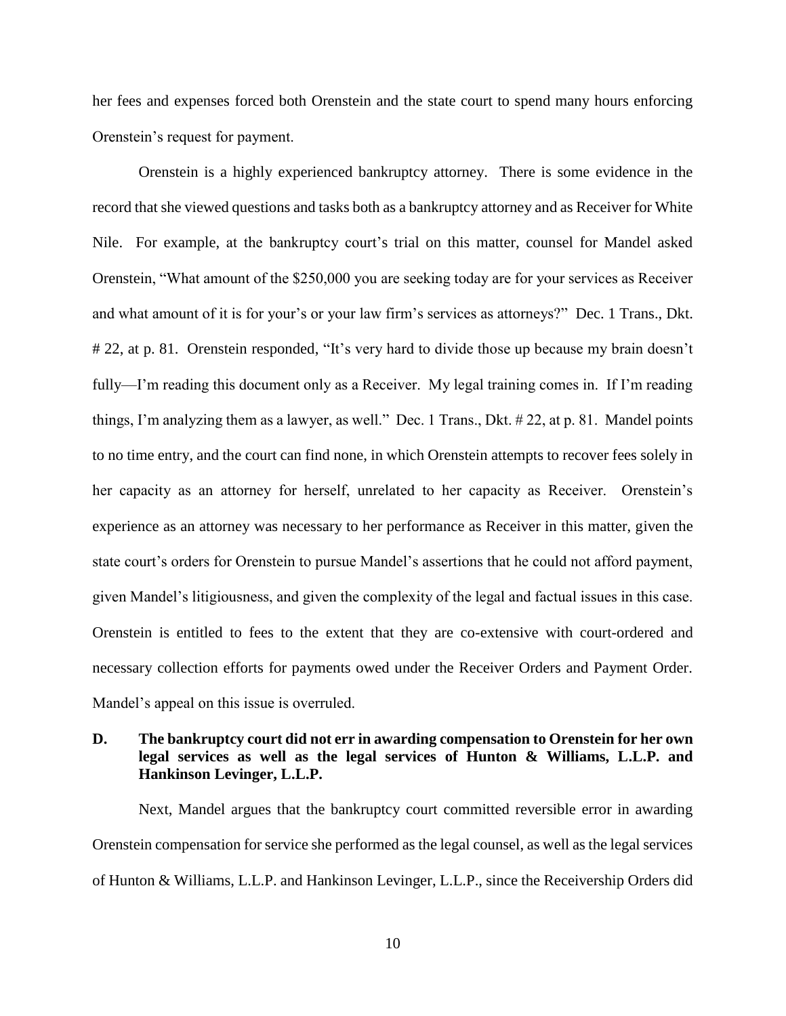her fees and expenses forced both Orenstein and the state court to spend many hours enforcing Orenstein's request for payment.

Orenstein is a highly experienced bankruptcy attorney. There is some evidence in the record that she viewed questions and tasks both as a bankruptcy attorney and as Receiver for White Nile. For example, at the bankruptcy court's trial on this matter, counsel for Mandel asked Orenstein, "What amount of the \$250,000 you are seeking today are for your services as Receiver and what amount of it is for your's or your law firm's services as attorneys?" Dec. 1 Trans., Dkt. # 22, at p. 81. Orenstein responded, "It's very hard to divide those up because my brain doesn't fully—I'm reading this document only as a Receiver. My legal training comes in. If I'm reading things, I'm analyzing them as a lawyer, as well." Dec. 1 Trans., Dkt. # 22, at p. 81. Mandel points to no time entry, and the court can find none, in which Orenstein attempts to recover fees solely in her capacity as an attorney for herself, unrelated to her capacity as Receiver. Orenstein's experience as an attorney was necessary to her performance as Receiver in this matter, given the state court's orders for Orenstein to pursue Mandel's assertions that he could not afford payment, given Mandel's litigiousness, and given the complexity of the legal and factual issues in this case. Orenstein is entitled to fees to the extent that they are co-extensive with court-ordered and necessary collection efforts for payments owed under the Receiver Orders and Payment Order. Mandel's appeal on this issue is overruled.

# **D. The bankruptcy court did not err in awarding compensation to Orenstein for her own legal services as well as the legal services of Hunton & Williams, L.L.P. and Hankinson Levinger, L.L.P.**

Next, Mandel argues that the bankruptcy court committed reversible error in awarding Orenstein compensation for service she performed as the legal counsel, as well as the legal services of Hunton & Williams, L.L.P. and Hankinson Levinger, L.L.P., since the Receivership Orders did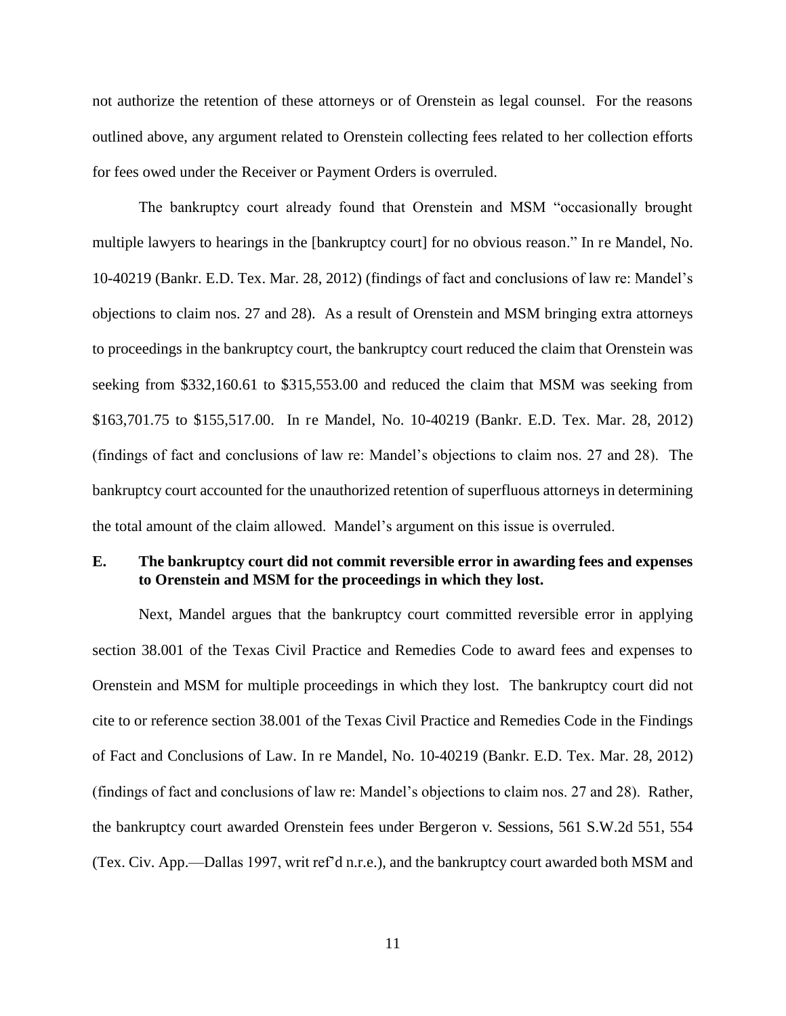not authorize the retention of these attorneys or of Orenstein as legal counsel. For the reasons outlined above, any argument related to Orenstein collecting fees related to her collection efforts for fees owed under the Receiver or Payment Orders is overruled.

The bankruptcy court already found that Orenstein and MSM "occasionally brought multiple lawyers to hearings in the [bankruptcy court] for no obvious reason." In re Mandel, No. 10-40219 (Bankr. E.D. Tex. Mar. 28, 2012) (findings of fact and conclusions of law re: Mandel's objections to claim nos. 27 and 28). As a result of Orenstein and MSM bringing extra attorneys to proceedings in the bankruptcy court, the bankruptcy court reduced the claim that Orenstein was seeking from \$332,160.61 to \$315,553.00 and reduced the claim that MSM was seeking from \$163,701.75 to \$155,517.00. In re Mandel, No. 10-40219 (Bankr. E.D. Tex. Mar. 28, 2012) (findings of fact and conclusions of law re: Mandel's objections to claim nos. 27 and 28). The bankruptcy court accounted for the unauthorized retention of superfluous attorneys in determining the total amount of the claim allowed. Mandel's argument on this issue is overruled.

## **E. The bankruptcy court did not commit reversible error in awarding fees and expenses to Orenstein and MSM for the proceedings in which they lost.**

Next, Mandel argues that the bankruptcy court committed reversible error in applying section 38.001 of the Texas Civil Practice and Remedies Code to award fees and expenses to Orenstein and MSM for multiple proceedings in which they lost. The bankruptcy court did not cite to or reference section 38.001 of the Texas Civil Practice and Remedies Code in the Findings of Fact and Conclusions of Law. In re Mandel, No. 10-40219 (Bankr. E.D. Tex. Mar. 28, 2012) (findings of fact and conclusions of law re: Mandel's objections to claim nos. 27 and 28). Rather, the bankruptcy court awarded Orenstein fees under Bergeron v. Sessions, 561 S.W.2d 551, 554 (Tex. Civ. App.—Dallas 1997, writ ref'd n.r.e.), and the bankruptcy court awarded both MSM and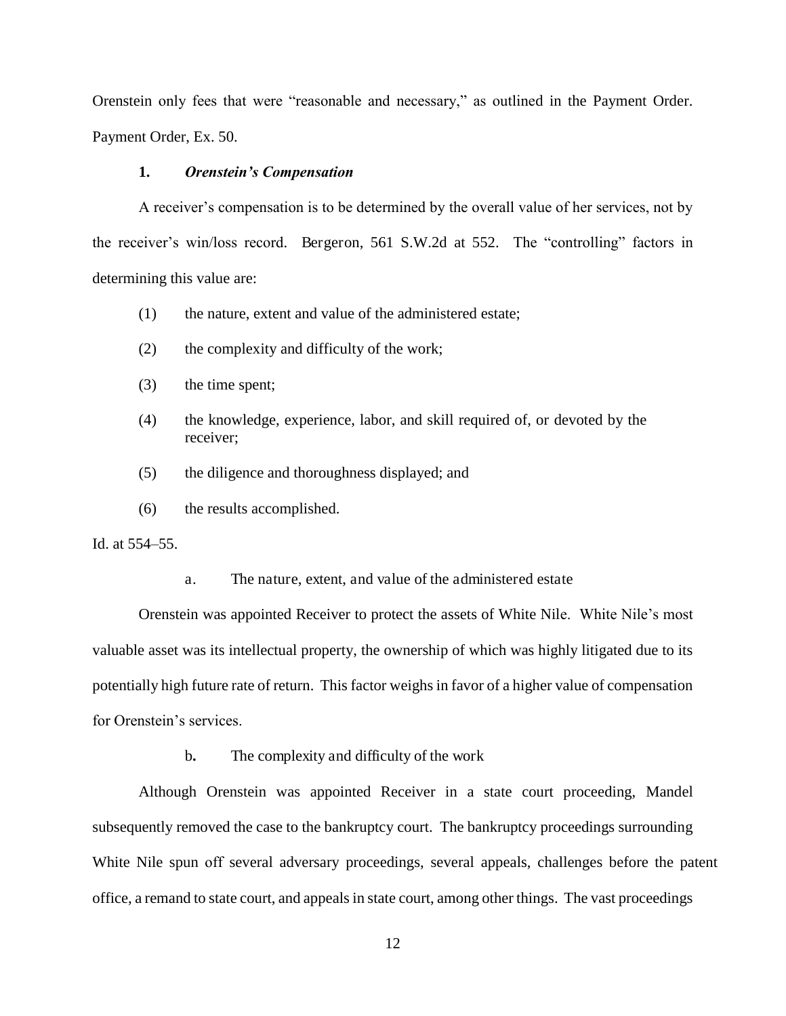Orenstein only fees that were "reasonable and necessary," as outlined in the Payment Order. Payment Order, Ex. 50.

## **1.** *Orenstein's Compensation*

A receiver's compensation is to be determined by the overall value of her services, not by the receiver's win/loss record. Bergeron, 561 S.W.2d at 552. The "controlling" factors in determining this value are:

- (1) the nature, extent and value of the administered estate;
- (2) the complexity and difficulty of the work;
- (3) the time spent;
- (4) the knowledge, experience, labor, and skill required of, or devoted by the receiver;
- (5) the diligence and thoroughness displayed; and
- (6) the results accomplished.

Id. at 554–55.

a. The nature, extent, and value of the administered estate

Orenstein was appointed Receiver to protect the assets of White Nile. White Nile's most valuable asset was its intellectual property, the ownership of which was highly litigated due to its potentially high future rate of return. This factor weighs in favor of a higher value of compensation for Orenstein's services.

b**.** The complexity and difficulty of the work

Although Orenstein was appointed Receiver in a state court proceeding, Mandel subsequently removed the case to the bankruptcy court. The bankruptcy proceedings surrounding White Nile spun off several adversary proceedings, several appeals, challenges before the patent office, a remand to state court, and appeals in state court, among other things. The vast proceedings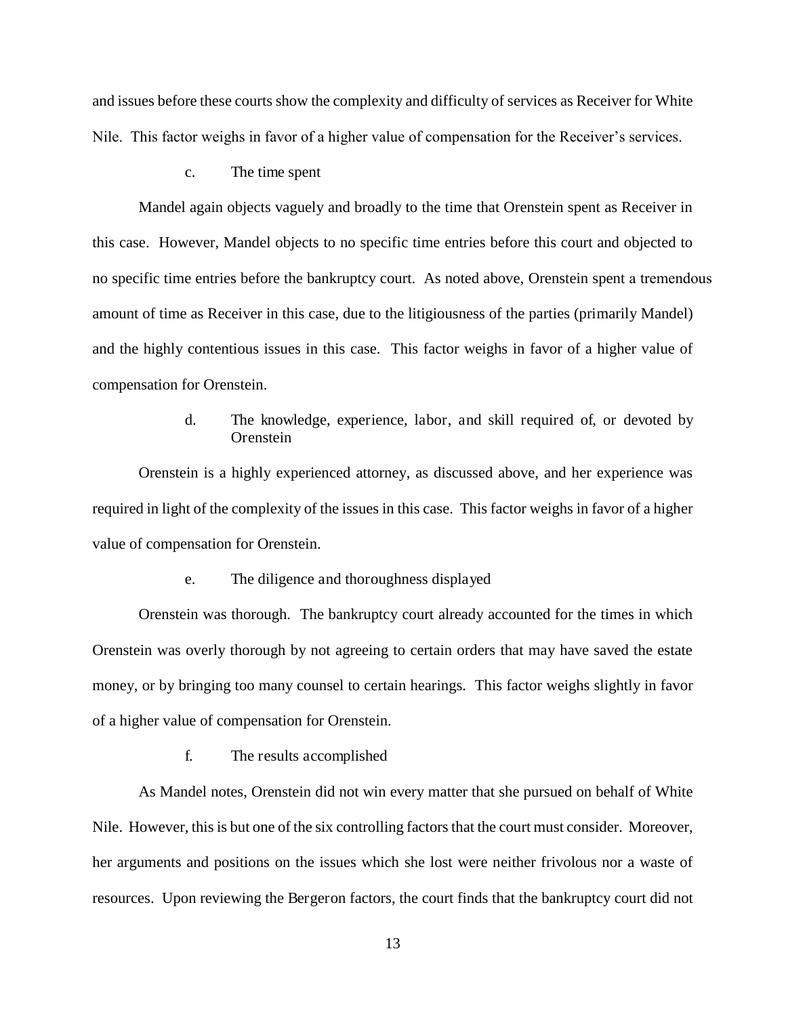and issues before these courts show the complexity and difficulty of services as Receiver for White Nile. This factor weighs in favor of a higher value of compensation for the Receiver's services.

### c. The time spent

Mandel again objects vaguely and broadly to the time that Orenstein spent as Receiver in this case. However, Mandel objects to no specific time entries before this court and objected to no specific time entries before the bankruptcy court. As noted above, Orenstein spent a tremendous amount of time as Receiver in this case, due to the litigiousness of the parties (primarily Mandel) and the highly contentious issues in this case. This factor weighs in favor of a higher value of compensation for Orenstein.

# d. The knowledge, experience, labor, and skill required of, or devoted by **Orenstein**

Orenstein is a highly experienced attorney, as discussed above, and her experience was required in light of the complexity of the issues in this case. This factor weighs in favor of a higher value of compensation for Orenstein.

## e. The diligence and thoroughness displayed

Orenstein was thorough. The bankruptcy court already accounted for the times in which Orenstein was overly thorough by not agreeing to certain orders that may have saved the estate money, or by bringing too many counsel to certain hearings. This factor weighs slightly in favor of a higher value of compensation for Orenstein.

#### f. The results accomplished

As Mandel notes, Orenstein did not win every matter that she pursued on behalf of White Nile. However, this is but one of the six controlling factors that the court must consider. Moreover, her arguments and positions on the issues which she lost were neither frivolous nor a waste of resources. Upon reviewing the Bergeron factors, the court finds that the bankruptcy court did not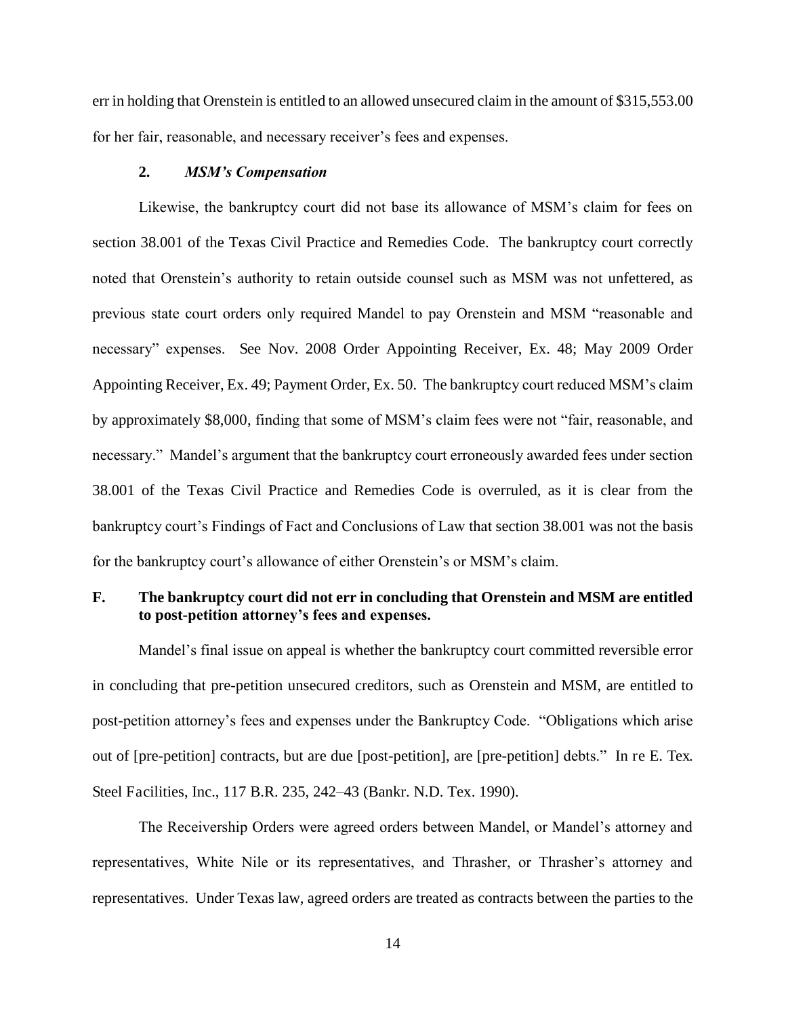err in holding that Orenstein is entitled to an allowed unsecured claim in the amount of \$315,553.00 for her fair, reasonable, and necessary receiver's fees and expenses.

## **2.** *MSM's Compensation*

Likewise, the bankruptcy court did not base its allowance of MSM's claim for fees on section 38.001 of the Texas Civil Practice and Remedies Code. The bankruptcy court correctly noted that Orenstein's authority to retain outside counsel such as MSM was not unfettered, as previous state court orders only required Mandel to pay Orenstein and MSM "reasonable and necessary" expenses. See Nov. 2008 Order Appointing Receiver, Ex. 48; May 2009 Order Appointing Receiver, Ex. 49; Payment Order, Ex. 50. The bankruptcy court reduced MSM's claim by approximately \$8,000, finding that some of MSM's claim fees were not "fair, reasonable, and necessary." Mandel's argument that the bankruptcy court erroneously awarded fees under section 38.001 of the Texas Civil Practice and Remedies Code is overruled, as it is clear from the bankruptcy court's Findings of Fact and Conclusions of Law that section 38.001 was not the basis for the bankruptcy court's allowance of either Orenstein's or MSM's claim.

## **F. The bankruptcy court did not err in concluding that Orenstein and MSM are entitled to post-petition attorney's fees and expenses.**

Mandel's final issue on appeal is whether the bankruptcy court committed reversible error in concluding that pre-petition unsecured creditors, such as Orenstein and MSM, are entitled to post-petition attorney's fees and expenses under the Bankruptcy Code. "Obligations which arise out of [pre-petition] contracts, but are due [post-petition], are [pre-petition] debts." In re E. Tex. Steel Facilities, Inc., 117 B.R. 235, 242–43 (Bankr. N.D. Tex. 1990).

The Receivership Orders were agreed orders between Mandel, or Mandel's attorney and representatives, White Nile or its representatives, and Thrasher, or Thrasher's attorney and representatives. Under Texas law, agreed orders are treated as contracts between the parties to the